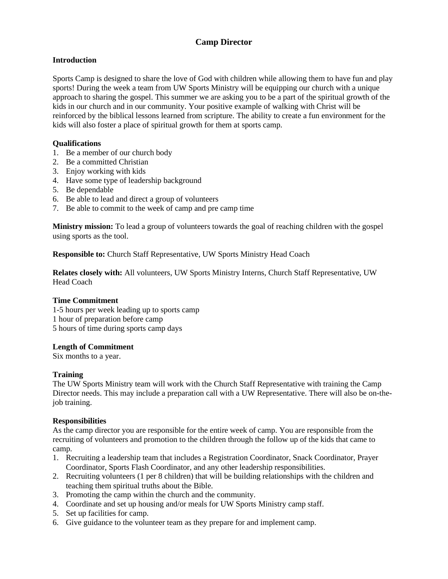# **Camp Director**

## **Introduction**

Sports Camp is designed to share the love of God with children while allowing them to have fun and play sports! During the week a team from UW Sports Ministry will be equipping our church with a unique approach to sharing the gospel. This summer we are asking you to be a part of the spiritual growth of the kids in our church and in our community. Your positive example of walking with Christ will be reinforced by the biblical lessons learned from scripture. The ability to create a fun environment for the kids will also foster a place of spiritual growth for them at sports camp.

### **Qualifications**

- 1. Be a member of our church body
- 2. Be a committed Christian
- 3. Enjoy working with kids
- 4. Have some type of leadership background
- 5. Be dependable
- 6. Be able to lead and direct a group of volunteers
- 7. Be able to commit to the week of camp and pre camp time

**Ministry mission:** To lead a group of volunteers towards the goal of reaching children with the gospel using sports as the tool.

**Responsible to:** Church Staff Representative, UW Sports Ministry Head Coach

**Relates closely with:** All volunteers, UW Sports Ministry Interns, Church Staff Representative, UW Head Coach

### **Time Commitment**

1-5 hours per week leading up to sports camp 1 hour of preparation before camp 5 hours of time during sports camp days

### **Length of Commitment**

Six months to a year.

### **Training**

The UW Sports Ministry team will work with the Church Staff Representative with training the Camp Director needs. This may include a preparation call with a UW Representative. There will also be on-thejob training.

### **Responsibilities**

As the camp director you are responsible for the entire week of camp. You are responsible from the recruiting of volunteers and promotion to the children through the follow up of the kids that came to camp.

- 1. Recruiting a leadership team that includes a Registration Coordinator, Snack Coordinator, Prayer Coordinator, Sports Flash Coordinator, and any other leadership responsibilities.
- 2. Recruiting volunteers (1 per 8 children) that will be building relationships with the children and teaching them spiritual truths about the Bible.
- 3. Promoting the camp within the church and the community.
- 4. Coordinate and set up housing and/or meals for UW Sports Ministry camp staff.
- 5. Set up facilities for camp.
- 6. Give guidance to the volunteer team as they prepare for and implement camp.